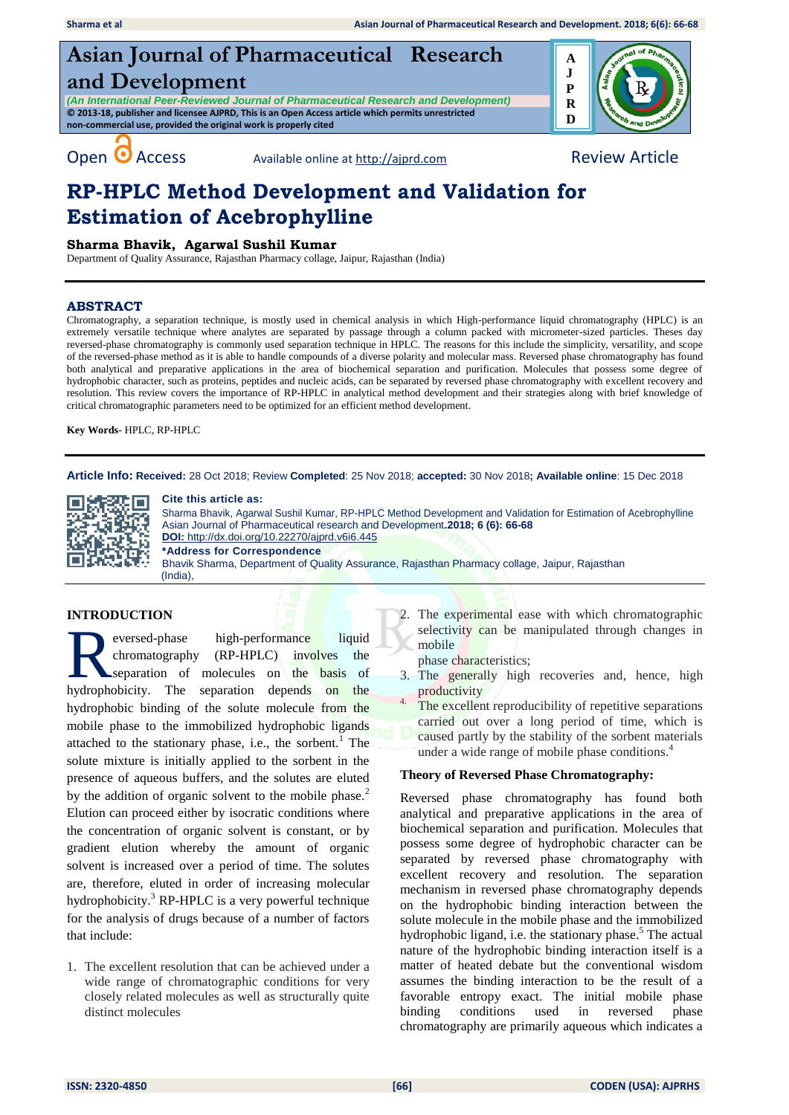# **Asian Journal of Pharmaceutical Research and Development**

*(An International Peer-Reviewed Journal of Pharmaceutical Research and Development)* **© 2013-18, publisher and licensee AJPRD, This is an Open Access article which permits unrestricted non-commercial use, provided the original work is properly cited**



Open **O** Access Available online a[t http://ajprd.com](http://ajprd.com/) Review Article

# **RP-HPLC Method Development and Validation for Estimation of Acebrophylline**

# **Sharma Bhavik, Agarwal Sushil Kumar**

Department of Quality Assurance, Rajasthan Pharmacy collage, Jaipur, Rajasthan (India)

# **ABSTRACT**

Chromatography, a separation technique, is mostly used in chemical analysis in which High-performance liquid chromatography (HPLC) is an extremely versatile technique where analytes are separated by passage through a column packed with micrometer-sized particles. Theses day reversed-phase chromatography is commonly used separation technique in HPLC. The reasons for this include the simplicity, versatility, and scope of the reversed-phase method as it is able to handle compounds of a diverse polarity and molecular mass. Reversed phase chromatography has found both analytical and preparative applications in the area of biochemical separation and purification. Molecules that possess some degree of hydrophobic character, such as proteins, peptides and nucleic acids, can be separated by reversed phase chromatography with excellent recovery and resolution. This review covers the importance of RP-HPLC in analytical method development and their strategies along with brief knowledge of critical chromatographic parameters need to be optimized for an efficient method development.

**Key Words**- HPLC, RP-HPLC

**Article Info: Received:** 28 Oct 2018; Review **Completed**: 25 Nov 2018; **accepted:** 30 Nov 2018**; Available online**: 15 Dec 2018



#### **Cite this article as:**

Sharma Bhavik, Agarwal Sushil Kumar, RP-HPLC Method Development and Validation for Estimation of Acebrophylline Asian Journal of Pharmaceutical research and Development**.2018; 6 (6): 66-68 DOI:** <http://dx.doi.org/10.22270/ajprd.v6i6.445> **\*Address for Correspondence**  Bhavik Sharma, Department of Quality Assurance, Rajasthan Pharmacy collage, Jaipur, Rajasthan (India),

# **INTRODUCTION**

eversed-phase high-performance liquid chromatography (RP-HPLC) involves the separation of molecules on the basis of eversed-phase high-performance liquid chromatography (RP-HPLC) involves the separation of molecules on the basis of hydrophobicity. The separation depends on the hydrophobic binding of the solute molecule from the mobile phase to the immobilized hydrophobic ligands attached to the stationary phase, i.e., the sorbent.<sup>1</sup> The solute mixture is initially applied to the sorbent in the presence of aqueous buffers, and the solutes are eluted by the addition of organic solvent to the mobile phase.<sup>2</sup> Elution can proceed either by isocratic conditions where the concentration of organic solvent is constant, or by gradient elution whereby the amount of organic solvent is increased over a period of time. The solutes are, therefore, eluted in order of increasing molecular hydrophobicity. $3$  RP-HPLC is a very powerful technique for the analysis of drugs because of a number of factors that include:

1. The excellent resolution that can be achieved under a wide range of chromatographic conditions for very closely related molecules as well as structurally quite distinct molecules

2. The experimental ease with which chromatographic selectivity can be manipulated through changes in mobile

phase characteristics;

3. The generally high recoveries and, hence, high productivity

The excellent reproducibility of repetitive separations carried out over a long period of time, which is caused partly by the stability of the sorbent materials under a wide range of mobile phase conditions. 4

## **Theory of Reversed Phase Chromatography:**

Reversed phase chromatography has found both analytical and preparative applications in the area of biochemical separation and purification. Molecules that possess some degree of hydrophobic character can be separated by reversed phase chromatography with excellent recovery and resolution. The separation mechanism in reversed phase chromatography depends on the hydrophobic binding interaction between the solute molecule in the mobile phase and the immobilized hydrophobic ligand, i.e. the stationary phase.<sup>5</sup> The actual nature of the hydrophobic binding interaction itself is a matter of heated debate but the conventional wisdom assumes the binding interaction to be the result of a favorable entropy exact. The initial mobile phase binding conditions used in reversed phase chromatography are primarily aqueous which indicates a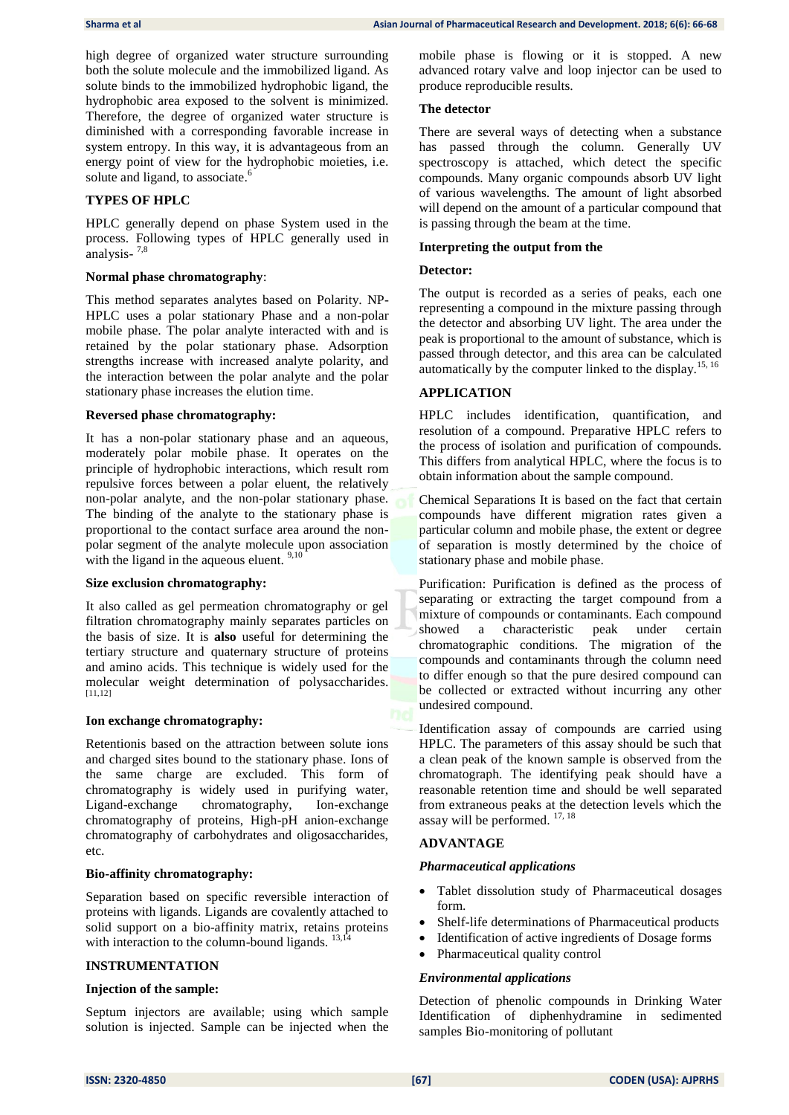high degree of organized water structure surrounding both the solute molecule and the immobilized ligand. As solute binds to the immobilized hydrophobic ligand, the hydrophobic area exposed to the solvent is minimized. Therefore, the degree of organized water structure is diminished with a corresponding favorable increase in system entropy. In this way, it is advantageous from an energy point of view for the hydrophobic moieties, i.e. solute and ligand, to associate.<sup>6</sup>

# **TYPES OF HPLC**

HPLC generally depend on phase System used in the process. Following types of HPLC generally used in analysis-<sup>7,8</sup>

#### **Normal phase chromatography**:

This method separates analytes based on Polarity. NP-HPLC uses a polar stationary Phase and a non-polar mobile phase. The polar analyte interacted with and is retained by the polar stationary phase. Adsorption strengths increase with increased analyte polarity, and the interaction between the polar analyte and the polar stationary phase increases the elution time.

#### **Reversed phase chromatography:**

It has a non-polar stationary phase and an aqueous, moderately polar mobile phase. It operates on the principle of hydrophobic interactions, which result rom repulsive forces between a polar eluent, the relatively non-polar analyte, and the non-polar stationary phase. The binding of the analyte to the stationary phase is proportional to the contact surface area around the nonpolar segment of the analyte molecule upon association with the ligand in the aqueous eluent.  $9,10$ 

#### **Size exclusion chromatography:**

It also called as gel permeation chromatography or gel filtration chromatography mainly separates particles on the basis of size. It is **also** useful for determining the tertiary structure and quaternary structure of proteins and amino acids. This technique is widely used for the molecular weight determination of polysaccharides. [11,12]

#### **Ion exchange chromatography:**

Retentionis based on the attraction between solute ions and charged sites bound to the stationary phase. Ions of the same charge are excluded. This form of chromatography is widely used in purifying water, Ligand-exchange chromatography, Ion-exchange chromatography of proteins, High-pH anion-exchange chromatography of carbohydrates and oligosaccharides, etc.

#### **Bio-affinity chromatography:**

Separation based on specific reversible interaction of proteins with ligands. Ligands are covalently attached to solid support on a bio-affinity matrix, retains proteins with interaction to the column-bound ligands.  $13,14$ 

#### **INSTRUMENTATION**

#### **Injection of the sample:**

Septum injectors are available; using which sample solution is injected. Sample can be injected when the mobile phase is flowing or it is stopped. A new advanced rotary valve and loop injector can be used to produce reproducible results.

#### **The detector**

There are several ways of detecting when a substance has passed through the column. Generally UV spectroscopy is attached, which detect the specific compounds. Many organic compounds absorb UV light of various wavelengths. The amount of light absorbed will depend on the amount of a particular compound that is passing through the beam at the time.

#### **Interpreting the output from the**

#### **Detector:**

The output is recorded as a series of peaks, each one representing a compound in the mixture passing through the detector and absorbing UV light. The area under the peak is proportional to the amount of substance, which is passed through detector, and this area can be calculated automatically by the computer linked to the display.<sup>15, 16</sup>

#### **APPLICATION**

HPLC includes identification, quantification, and resolution of a compound. Preparative HPLC refers to the process of isolation and purification of compounds. This differs from analytical HPLC, where the focus is to obtain information about the sample compound.

Chemical Separations It is based on the fact that certain compounds have different migration rates given a particular column and mobile phase, the extent or degree of separation is mostly determined by the choice of stationary phase and mobile phase.

Purification: Purification is defined as the process of separating or extracting the target compound from a mixture of compounds or contaminants. Each compound showed a characteristic peak under certain chromatographic conditions. The migration of the compounds and contaminants through the column need to differ enough so that the pure desired compound can be collected or extracted without incurring any other undesired compound.

Identification assay of compounds are carried using HPLC. The parameters of this assay should be such that a clean peak of the known sample is observed from the chromatograph. The identifying peak should have a reasonable retention time and should be well separated from extraneous peaks at the detection levels which the assay will be performed. 17, 18

#### **ADVANTAGE**

#### *Pharmaceutical applications*

- Tablet dissolution study of Pharmaceutical dosages form.
- Shelf-life determinations of Pharmaceutical products
- Identification of active ingredients of Dosage forms
- Pharmaceutical quality control

#### *Environmental applications*

Detection of phenolic compounds in Drinking Water Identification of diphenhydramine in sedimented samples Bio-monitoring of pollutant